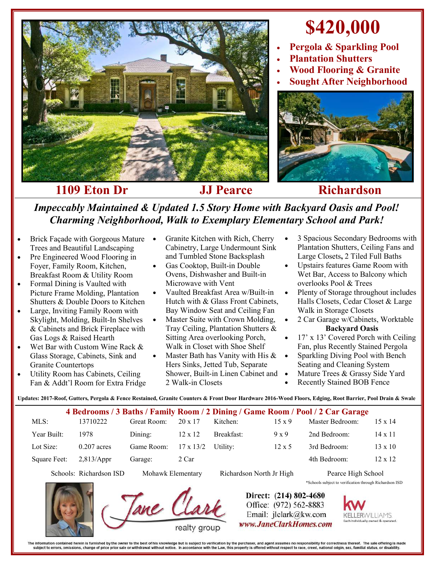

## **\$420,000**

- **Pergola & Sparkling Pool**
- **Plantation Shutters**
- **Wood Flooring & Granite**
- **Sought After Neighborhood**



## **1109 Eton Dr JJ Pearce Richardson**

*Impeccably Maintained & Updated 1.5 Story Home with Backyard Oasis and Pool! Charming Neighborhood, Walk to Exemplary Elementary School and Park!* 

- Brick Façade with Gorgeous Mature Trees and Beautiful Landscaping
- Pre Engineered Wood Flooring in Foyer, Family Room, Kitchen, Breakfast Room & Utility Room
- Formal Dining is Vaulted with Picture Frame Molding, Plantation Shutters & Double Doors to Kitchen
- Large, Inviting Family Room with Skylight, Molding, Built-In Shelves & Cabinets and Brick Fireplace with Gas Logs & Raised Hearth
- Wet Bar with Custom Wine Rack & Glass Storage, Cabinets, Sink and Granite Countertops
- Utility Room has Cabinets, Ceiling Fan & Addt'l Room for Extra Fridge
- Granite Kitchen with Rich, Cherry Cabinetry, Large Undermount Sink and Tumbled Stone Backsplash
- Gas Cooktop, Built-in Double Ovens, Dishwasher and Built-in Microwave with Vent
- Vaulted Breakfast Area w/Built-in Hutch with & Glass Front Cabinets, Bay Window Seat and Ceiling Fan
- Master Suite with Crown Molding, Tray Ceiling, Plantation Shutters & Sitting Area overlooking Porch, Walk in Closet with Shoe Shelf
- Master Bath has Vanity with His & Hers Sinks, Jetted Tub, Separate Shower, Built-in Linen Cabinet and 2 Walk-in Closets
- 3 Spacious Secondary Bedrooms with Plantation Shutters, Ceiling Fans and Large Closets**,** 2 Tiled Full Baths
- Upstairs features Game Room with Wet Bar, Access to Balcony which overlooks Pool & Trees
- Plenty of Storage throughout includes Halls Closets, Cedar Closet & Large Walk in Storage Closets
- 2 Car Garage w/Cabinets, Worktable **Backyard Oasis**
- 17' x 13' Covered Porch with Ceiling Fan, plus Recently Stained Pergola
- Sparkling Diving Pool with Bench Seating and Cleaning System
- Mature Trees & Grassy Side Yard
- Recently Stained BOB Fence

**Updates: 2017-Roof, Gutters, Pergola & Fence Restained, Granite Counters & Front Door Hardware 2016-Wood Floors, Edging, Root Barrier, Pool Drain & Swale**

|              |               |             |                  |            |               | 4 Bedrooms / 3 Baths / Family Room / 2 Dining / Game Room / Pool / 2 Car Garage |                |
|--------------|---------------|-------------|------------------|------------|---------------|---------------------------------------------------------------------------------|----------------|
| $MLS$ :      | 13710222      | Great Room: | $20 \times 17$   | Kitchen:   | $15 \times 9$ | Master Bedroom:                                                                 | $15 \times 14$ |
| Year Built:  | 1978          | Dining:     | $12 \times 12$   | Breakfast: | $9 \times 9$  | 2nd Bedroom:                                                                    | $14 \times 11$ |
| Lot Size:    | $0.207$ acres | Game Room:  | $17 \times 13/2$ | Utility:   | $12 \times 5$ | 3rd Bedroom:                                                                    | $13 \times 10$ |
| Square Feet: | 2,813/Appr    | Garage:     | 2 Car            |            |               | 4th Bedroom:                                                                    | $12 \times 12$ |

Schools: Richardson ISD Mohawk Elementary Richardson North Jr High Pearce High School



Direct: (214) 802-4680 Office: (972) 562-8883 Email: jlclark@kw.com www.JaneClarkHomes.com







The information contained herein is furnished by the owner to the best of his knowledge but is subject to verification by the purchaser, and agent assumes no responsibility for correctness thereof. The sale offering is mad